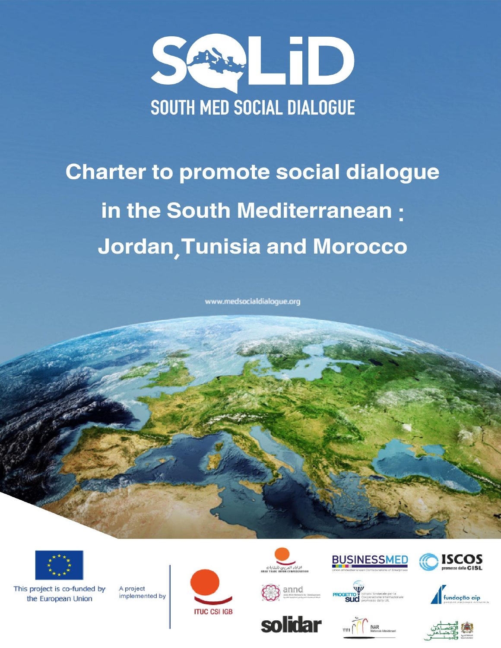

# **Charter to promote social dialogue** in the South Mediterranean: **Jordan, Tunisia and Morocco**

www.medsocialdialogue.org



This project is co-funded by the European Union

A project implemented by





annd











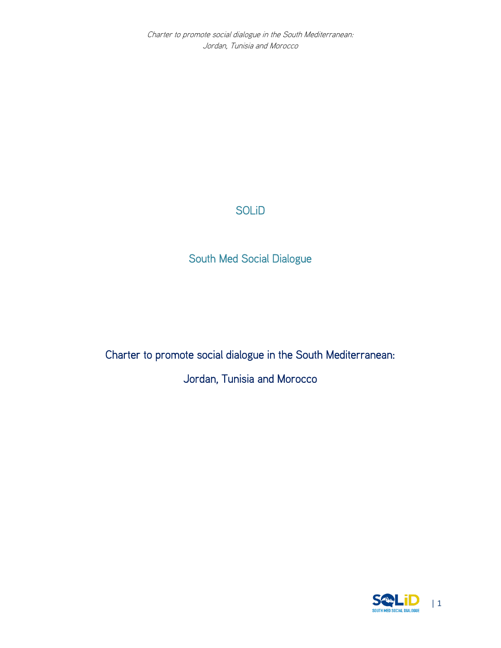Charter to promote social dialogue in the South Mediterranean: Jordan, Tunisia and Morocco

# SOLiD

South Med Social Dialogue

Charter to promote social dialogue in the South Mediterranean: Jordan, Tunisia and Morocco

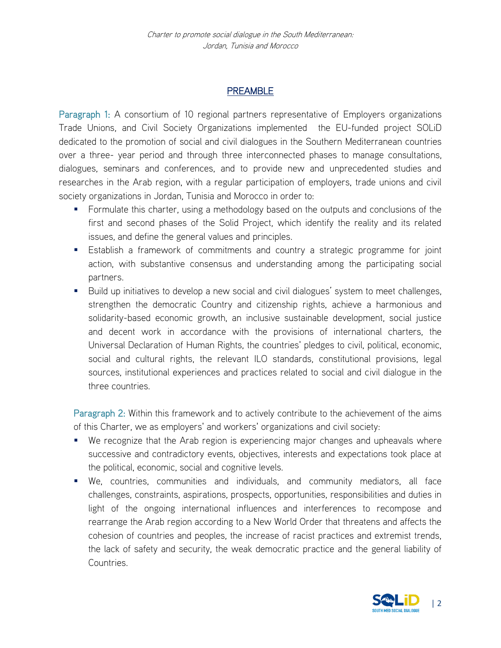### PREAMBLE

Paragraph 1: A consortium of 10 regional partners representative of Employers organizations Trade Unions, and Civil Society Organizations implemented the EU-funded project SOLiD dedicated to the promotion of social and civil dialogues in the Southern Mediterranean countries over a three- year period and through three interconnected phases to manage consultations, dialogues, seminars and conferences, and to provide new and unprecedented studies and researches in the Arab region, with a regular participation of employers, trade unions and civil society organizations in Jordan, Tunisia and Morocco in order to:

- **Formulate this charter, using a methodology based on the outputs and conclusions of the** first and second phases of the Solid Project, which identify the reality and its related issues, and define the general values and principles.
- Establish a framework of commitments and country a strategic programme for joint action, with substantive consensus and understanding among the participating social partners.
- **Build up initiatives to develop a new social and civil dialogues' system to meet challenges,** strengthen the democratic Country and citizenship rights, achieve a harmonious and solidarity-based economic growth, an inclusive sustainable development, social justice and decent work in accordance with the provisions of international charters, the Universal Declaration of Human Rights, the countries' pledges to civil, political, economic, social and cultural rights, the relevant ILO standards, constitutional provisions, legal sources, institutional experiences and practices related to social and civil dialogue in the three countries.

Paragraph 2: Within this framework and to actively contribute to the achievement of the aims of this Charter, we as employers' and workers' organizations and civil society:

- We recognize that the Arab region is experiencing major changes and upheavals where successive and contradictory events, objectives, interests and expectations took place at the political, economic, social and cognitive levels.
- We, countries, communities and individuals, and community mediators, all face challenges, constraints, aspirations, prospects, opportunities, responsibilities and duties in light of the ongoing international influences and interferences to recompose and rearrange the Arab region according to a New World Order that threatens and affects the cohesion of countries and peoples, the increase of racist practices and extremist trends, the lack of safety and security, the weak democratic practice and the general liability of Countries.

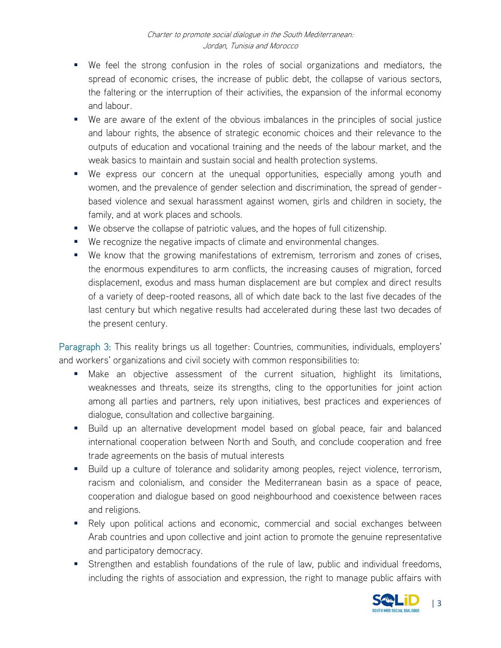- We feel the strong confusion in the roles of social organizations and mediators, the spread of economic crises, the increase of public debt, the collapse of various sectors, the faltering or the interruption of their activities, the expansion of the informal economy and labour.
- We are aware of the extent of the obvious imbalances in the principles of social justice and labour rights, the absence of strategic economic choices and their relevance to the outputs of education and vocational training and the needs of the labour market, and the weak basics to maintain and sustain social and health protection systems.
- We express our concern at the unequal opportunities, especially among youth and women, and the prevalence of gender selection and discrimination, the spread of genderbased violence and sexual harassment against women, girls and children in society, the family, and at work places and schools.
- We observe the collapse of patriotic values, and the hopes of full citizenship.
- We recognize the negative impacts of climate and environmental changes.
- We know that the growing manifestations of extremism, terrorism and zones of crises, the enormous expenditures to arm conflicts, the increasing causes of migration, forced displacement, exodus and mass human displacement are but complex and direct results of a variety of deep-rooted reasons, all of which date back to the last five decades of the last century but which negative results had accelerated during these last two decades of the present century.

Paragraph 3: This reality brings us all together: Countries, communities, individuals, employers' and workers' organizations and civil society with common responsibilities to:

- Make an objective assessment of the current situation, highlight its limitations, weaknesses and threats, seize its strengths, cling to the opportunities for joint action among all parties and partners, rely upon initiatives, best practices and experiences of dialogue, consultation and collective bargaining.
- **Build up an alternative development model based on global peace, fair and balanced** international cooperation between North and South, and conclude cooperation and free trade agreements on the basis of mutual interests
- Build up a culture of tolerance and solidarity among peoples, reject violence, terrorism, racism and colonialism, and consider the Mediterranean basin as a space of peace, cooperation and dialogue based on good neighbourhood and coexistence between races and religions.
- Rely upon political actions and economic, commercial and social exchanges between Arab countries and upon collective and joint action to promote the genuine representative and participatory democracy.
- Strengthen and establish foundations of the rule of law, public and individual freedoms, including the rights of association and expression, the right to manage public affairs with

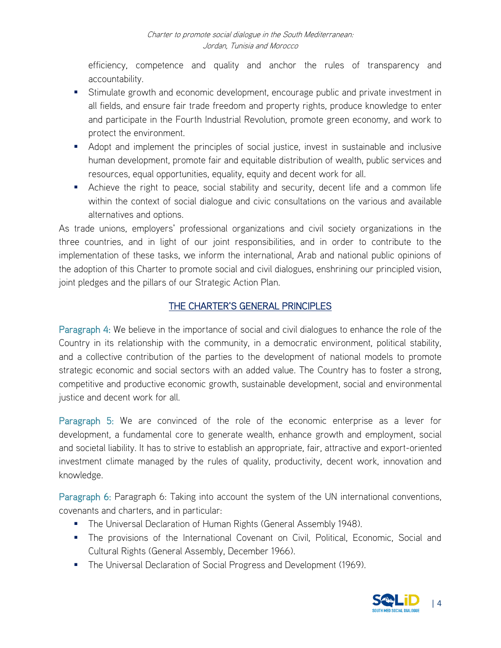efficiency, competence and quality and anchor the rules of transparency and accountability.

- Stimulate growth and economic development, encourage public and private investment in all fields, and ensure fair trade freedom and property rights, produce knowledge to enter and participate in the Fourth Industrial Revolution, promote green economy, and work to protect the environment.
- Adopt and implement the principles of social justice, invest in sustainable and inclusive human development, promote fair and equitable distribution of wealth, public services and resources, equal opportunities, equality, equity and decent work for all.
- Achieve the right to peace, social stability and security, decent life and a common life within the context of social dialogue and civic consultations on the various and available alternatives and options.

As trade unions, employers' professional organizations and civil society organizations in the three countries, and in light of our joint responsibilities, and in order to contribute to the implementation of these tasks, we inform the international, Arab and national public opinions of the adoption of this Charter to promote social and civil dialogues, enshrining our principled vision, joint pledges and the pillars of our Strategic Action Plan.

### THE CHARTER'S GENERAL PRINCIPLES

Paragraph 4: We believe in the importance of social and civil dialogues to enhance the role of the Country in its relationship with the community, in a democratic environment, political stability, and a collective contribution of the parties to the development of national models to promote strategic economic and social sectors with an added value. The Country has to foster a strong, competitive and productive economic growth, sustainable development, social and environmental justice and decent work for all.

Paragraph 5: We are convinced of the role of the economic enterprise as a lever for development, a fundamental core to generate wealth, enhance growth and employment, social and societal liability. It has to strive to establish an appropriate, fair, attractive and export-oriented investment climate managed by the rules of quality, productivity, decent work, innovation and knowledge.

Paragraph 6: Paragraph 6: Taking into account the system of the UN international conventions, covenants and charters, and in particular:

- **The Universal Declaration of Human Rights (General Assembly 1948).**
- The provisions of the International Covenant on Civil, Political, Economic, Social and Cultural Rights (General Assembly, December 1966).
- **The Universal Declaration of Social Progress and Development (1969).**

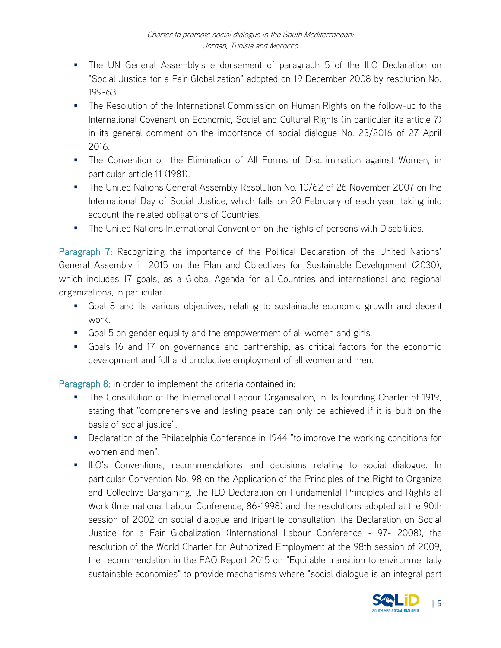- The UN General Assembly's endorsement of paragraph 5 of the ILO Declaration on "Social Justice for a Fair Globalization" adopted on 19 December 2008 by resolution No. 199-63.
- **The Resolution of the International Commission on Human Rights on the follow-up to the** International Covenant on Economic, Social and Cultural Rights (in particular its article 7) in its general comment on the importance of social dialogue No. 23/2016 of 27 April 2016.
- The Convention on the Elimination of All Forms of Discrimination against Women, in particular article 11 (1981).
- **The United Nations General Assembly Resolution No. 10/62 of 26 November 2007 on the** International Day of Social Justice, which falls on 20 February of each year, taking into account the related obligations of Countries.
- **The United Nations International Convention on the rights of persons with Disabilities.**

Paragraph 7: Recognizing the importance of the Political Declaration of the United Nations' General Assembly in 2015 on the Plan and Objectives for Sustainable Development (2030), which includes 17 goals, as a Global Agenda for all Countries and international and regional organizations, in particular:

- Goal 8 and its various objectives, relating to sustainable economic growth and decent work.
- Goal 5 on gender equality and the empowerment of all women and girls.
- Goals 16 and 17 on governance and partnership, as critical factors for the economic development and full and productive employment of all women and men.

Paragraph 8: In order to implement the criteria contained in:

- **The Constitution of the International Labour Organisation, in its founding Charter of 1919,** stating that "comprehensive and lasting peace can only be achieved if it is built on the basis of social justice".
- **•** Declaration of the Philadelphia Conference in 1944 "to improve the working conditions for women and men".
- **ILO's Conventions, recommendations and decisions relating to social dialogue. In** particular Convention No. 98 on the Application of the Principles of the Right to Organize and Collective Bargaining, the ILO Declaration on Fundamental Principles and Rights at Work (International Labour Conference, 86-1998) and the resolutions adopted at the 90th session of 2002 on social dialogue and tripartite consultation, the Declaration on Social Justice for a Fair Globalization (International Labour Conference - 97- 2008), the resolution of the World Charter for Authorized Employment at the 98th session of 2009, the recommendation in the FAO Report 2015 on "Equitable transition to environmentally sustainable economies" to provide mechanisms where "social dialogue is an integral part

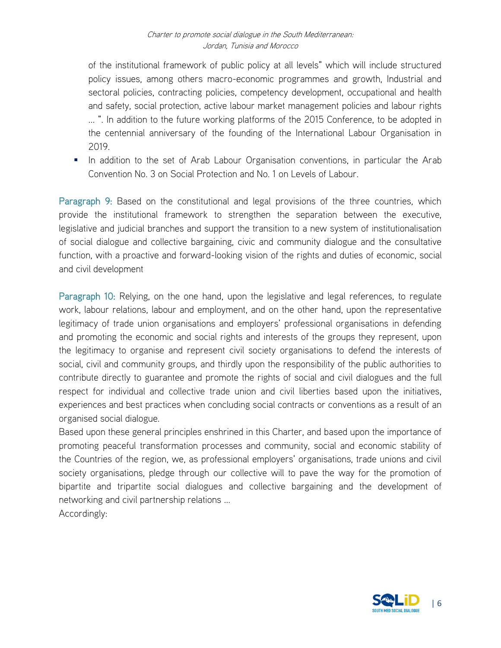of the institutional framework of public policy at all levels" which will include structured policy issues, among others macro-economic programmes and growth, Industrial and sectoral policies, contracting policies, competency development, occupational and health and safety, social protection, active labour market management policies and labour rights ... ". In addition to the future working platforms of the 2015 Conference, to be adopted in the centennial anniversary of the founding of the International Labour Organisation in 2019.

In addition to the set of Arab Labour Organisation conventions, in particular the Arab Convention No. 3 on Social Protection and No. 1 on Levels of Labour.

Paragraph 9: Based on the constitutional and legal provisions of the three countries, which provide the institutional framework to strengthen the separation between the executive, legislative and judicial branches and support the transition to a new system of institutionalisation of social dialogue and collective bargaining, civic and community dialogue and the consultative function, with a proactive and forward-looking vision of the rights and duties of economic, social and civil development

Paragraph 10: Relying, on the one hand, upon the legislative and legal references, to regulate work, labour relations, labour and employment, and on the other hand, upon the representative legitimacy of trade union organisations and employers' professional organisations in defending and promoting the economic and social rights and interests of the groups they represent, upon the legitimacy to organise and represent civil society organisations to defend the interests of social, civil and community groups, and thirdly upon the responsibility of the public authorities to contribute directly to guarantee and promote the rights of social and civil dialogues and the full respect for individual and collective trade union and civil liberties based upon the initiatives, experiences and best practices when concluding social contracts or conventions as a result of an organised social dialogue.

Based upon these general principles enshrined in this Charter, and based upon the importance of promoting peaceful transformation processes and community, social and economic stability of the Countries of the region, we, as professional employers' organisations, trade unions and civil society organisations, pledge through our collective will to pave the way for the promotion of bipartite and tripartite social dialogues and collective bargaining and the development of networking and civil partnership relations ...

Accordingly:

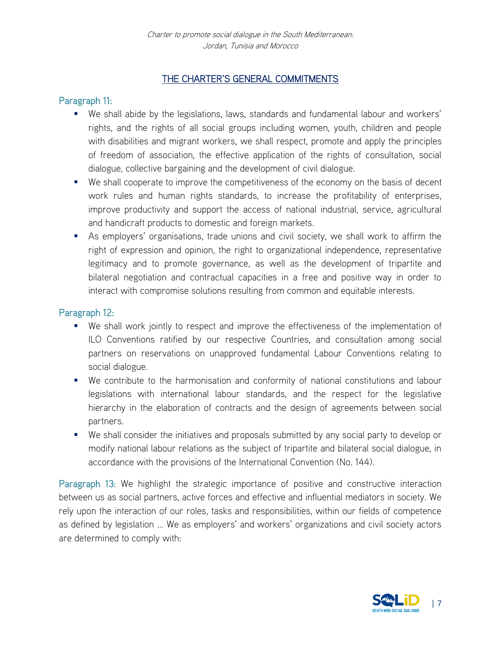### THE CHARTER'S GENERAL COMMITMENTS

### Paragraph 11:

- We shall abide by the legislations, laws, standards and fundamental labour and workers' rights, and the rights of all social groups including women, youth, children and people with disabilities and migrant workers, we shall respect, promote and apply the principles of freedom of association, the effective application of the rights of consultation, social dialogue, collective bargaining and the development of civil dialogue.
- We shall cooperate to improve the competitiveness of the economy on the basis of decent work rules and human rights standards, to increase the profitability of enterprises, improve productivity and support the access of national industrial, service, agricultural and handicraft products to domestic and foreign markets.
- As employers' organisations, trade unions and civil society, we shall work to affirm the right of expression and opinion, the right to organizational independence, representative legitimacy and to promote governance, as well as the development of tripartite and bilateral negotiation and contractual capacities in a free and positive way in order to interact with compromise solutions resulting from common and equitable interests.

### Paragraph 12:

- We shall work jointly to respect and improve the effectiveness of the implementation of ILO Conventions ratified by our respective Countries, and consultation among social partners on reservations on unapproved fundamental Labour Conventions relating to social dialogue.
- We contribute to the harmonisation and conformity of national constitutions and labour legislations with international labour standards, and the respect for the legislative hierarchy in the elaboration of contracts and the design of agreements between social partners.
- We shall consider the initiatives and proposals submitted by any social party to develop or modify national labour relations as the subject of tripartite and bilateral social dialogue, in accordance with the provisions of the International Convention (No. 144).

Paragraph 13: We highlight the strategic importance of positive and constructive interaction between us as social partners, active forces and effective and influential mediators in society. We rely upon the interaction of our roles, tasks and responsibilities, within our fields of competence as defined by legislation ... We as employers' and workers' organizations and civil society actors are determined to comply with:

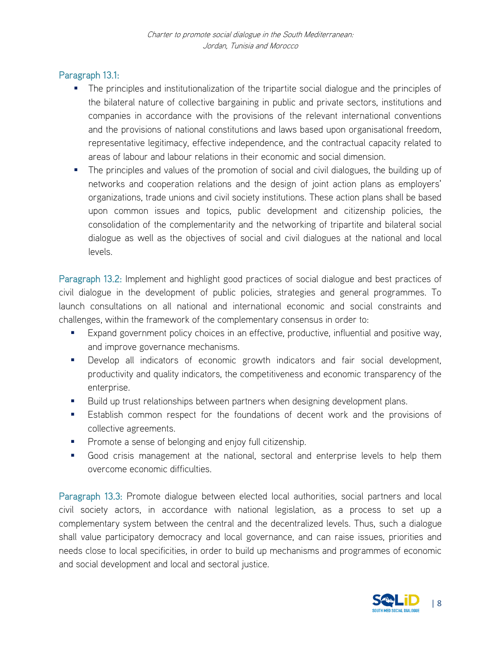### Paragraph 13.1:

- **The principles and institutionalization of the tripartite social dialogue and the principles of** the bilateral nature of collective bargaining in public and private sectors, institutions and companies in accordance with the provisions of the relevant international conventions and the provisions of national constitutions and laws based upon organisational freedom, representative legitimacy, effective independence, and the contractual capacity related to areas of labour and labour relations in their economic and social dimension.
- The principles and values of the promotion of social and civil dialogues, the building up of networks and cooperation relations and the design of joint action plans as employers' organizations, trade unions and civil society institutions. These action plans shall be based upon common issues and topics, public development and citizenship policies, the consolidation of the complementarity and the networking of tripartite and bilateral social dialogue as well as the objectives of social and civil dialogues at the national and local levels.

Paragraph 13.2: Implement and highlight good practices of social dialogue and best practices of civil dialogue in the development of public policies, strategies and general programmes. To launch consultations on all national and international economic and social constraints and challenges, within the framework of the complementary consensus in order to:

- Expand government policy choices in an effective, productive, influential and positive way, and improve governance mechanisms.
- Develop all indicators of economic growth indicators and fair social development, productivity and quality indicators, the competitiveness and economic transparency of the enterprise.
- Build up trust relationships between partners when designing development plans.
- Establish common respect for the foundations of decent work and the provisions of collective agreements.
- Promote a sense of belonging and enjoy full citizenship.
- Good crisis management at the national, sectoral and enterprise levels to help them overcome economic difficulties.

Paragraph 13.3: Promote dialogue between elected local authorities, social partners and local civil society actors, in accordance with national legislation, as a process to set up a complementary system between the central and the decentralized levels. Thus, such a dialogue shall value participatory democracy and local governance, and can raise issues, priorities and needs close to local specificities, in order to build up mechanisms and programmes of economic and social development and local and sectoral justice.

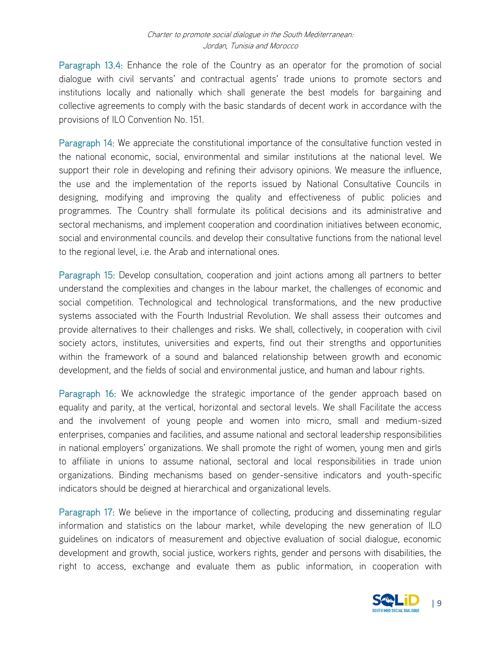Paragraph 13.4: Enhance the role of the Country as an operator for the promotion of social dialogue with civil servants' and contractual agents' trade unions to promote sectors and institutions locally and nationally which shall generate the best models for bargaining and collective agreements to comply with the basic standards of decent work in accordance with the provisions of ILO Convention No. 151.

Paragraph 14: We appreciate the constitutional importance of the consultative function vested in the national economic, social, environmental and similar institutions at the national level. We support their role in developing and refining their advisory opinions. We measure the influence, the use and the implementation of the reports issued by National Consultative Councils in designing, modifying and improving the quality and effectiveness of public policies and programmes. The Country shall formulate its political decisions and its administrative and sectoral mechanisms, and implement cooperation and coordination initiatives between economic, social and environmental councils. and develop their consultative functions from the national level to the regional level, i.e. the Arab and international ones.

Paragraph 15: Develop consultation, cooperation and joint actions among all partners to better understand the complexities and changes in the labour market, the challenges of economic and social competition. Technological and technological transformations, and the new productive systems associated with the Fourth Industrial Revolution. We shall assess their outcomes and provide alternatives to their challenges and risks. We shall, collectively, in cooperation with civil society actors, institutes, universities and experts, find out their strengths and opportunities within the framework of a sound and balanced relationship between growth and economic development, and the fields of social and environmental justice, and human and labour rights.

Paragraph 16: We acknowledge the strategic importance of the gender approach based on equality and parity, at the vertical, horizontal and sectoral levels. We shall Facilitate the access and the involvement of young people and women into micro, small and medium-sized enterprises, companies and facilities, and assume national and sectoral leadership responsibilities in national employers' organizations. We shall promote the right of women, young men and girls to affiliate in unions to assume national, sectoral and local responsibilities in trade union organizations. Binding mechanisms based on gender-sensitive indicators and youth-specific indicators should be deigned at hierarchical and organizational levels.

Paragraph 17: We believe in the importance of collecting, producing and disseminating regular information and statistics on the labour market, while developing the new generation of ILO guidelines on indicators of measurement and objective evaluation of social dialogue, economic development and growth, social justice, workers rights, gender and persons with disabilities, the right to access, exchange and evaluate them as public information, in cooperation with

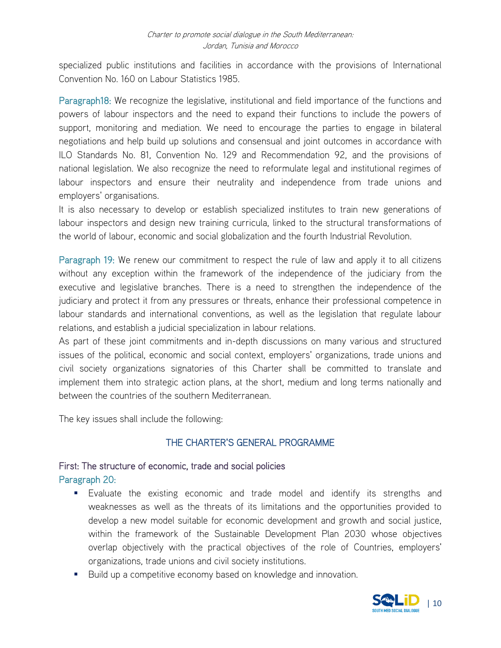specialized public institutions and facilities in accordance with the provisions of International Convention No. 160 on Labour Statistics 1985.

Paragraph18: We recognize the legislative, institutional and field importance of the functions and powers of labour inspectors and the need to expand their functions to include the powers of support, monitoring and mediation. We need to encourage the parties to engage in bilateral negotiations and help build up solutions and consensual and joint outcomes in accordance with ILO Standards No. 81, Convention No. 129 and Recommendation 92, and the provisions of national legislation. We also recognize the need to reformulate legal and institutional regimes of labour inspectors and ensure their neutrality and independence from trade unions and employers' organisations.

It is also necessary to develop or establish specialized institutes to train new generations of labour inspectors and design new training curricula, linked to the structural transformations of the world of labour, economic and social globalization and the fourth Industrial Revolution.

Paragraph 19: We renew our commitment to respect the rule of law and apply it to all citizens without any exception within the framework of the independence of the judiciary from the executive and legislative branches. There is a need to strengthen the independence of the judiciary and protect it from any pressures or threats, enhance their professional competence in labour standards and international conventions, as well as the legislation that regulate labour relations, and establish a judicial specialization in labour relations.

As part of these joint commitments and in-depth discussions on many various and structured issues of the political, economic and social context, employers' organizations, trade unions and civil society organizations signatories of this Charter shall be committed to translate and implement them into strategic action plans, at the short, medium and long terms nationally and between the countries of the southern Mediterranean.

The key issues shall include the following:

### THE CHARTER'S GENERAL PROGRAMME

### First: The structure of economic, trade and social policies Paragraph 20:

- Evaluate the existing economic and trade model and identify its strengths and weaknesses as well as the threats of its limitations and the opportunities provided to develop a new model suitable for economic development and growth and social justice, within the framework of the Sustainable Development Plan 2030 whose objectives overlap objectively with the practical objectives of the role of Countries, employers' organizations, trade unions and civil society institutions.
- **Build up a competitive economy based on knowledge and innovation.**

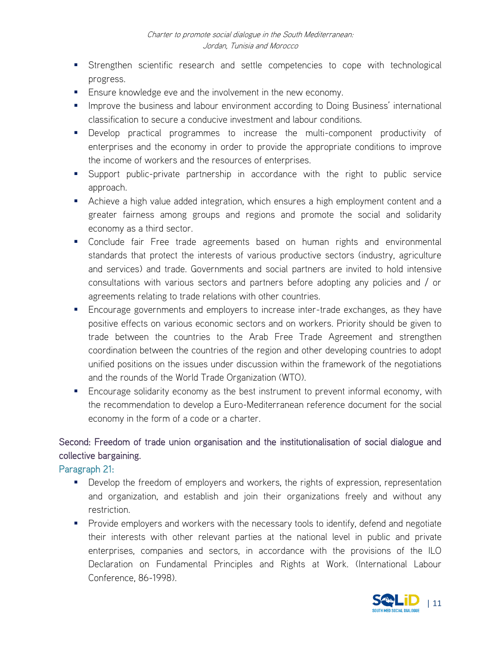- **Strengthen scientific research and settle competencies to cope with technological** progress.
- **Ensure knowledge eve and the involvement in the new economy.**
- **Improve the business and labour environment according to Doing Business' international** classification to secure a conducive investment and labour conditions.
- Develop practical programmes to increase the multi-component productivity of enterprises and the economy in order to provide the appropriate conditions to improve the income of workers and the resources of enterprises.
- Support public-private partnership in accordance with the right to public service approach.
- Achieve a high value added integration, which ensures a high employment content and a greater fairness among groups and regions and promote the social and solidarity economy as a third sector.
- Conclude fair Free trade agreements based on human rights and environmental standards that protect the interests of various productive sectors (industry, agriculture and services) and trade. Governments and social partners are invited to hold intensive consultations with various sectors and partners before adopting any policies and / or agreements relating to trade relations with other countries.
- **Encourage governments and employers to increase inter-trade exchanges, as they have** positive effects on various economic sectors and on workers. Priority should be given to trade between the countries to the Arab Free Trade Agreement and strengthen coordination between the countries of the region and other developing countries to adopt unified positions on the issues under discussion within the framework of the negotiations and the rounds of the World Trade Organization (WTO).
- **Encourage solidarity economy as the best instrument to prevent informal economy, with** the recommendation to develop a Euro-Mediterranean reference document for the social economy in the form of a code or a charter.

### Second: Freedom of trade union organisation and the institutionalisation of social dialogue and collective bargaining.

Paragraph 21:

- **Develop the freedom of employers and workers, the rights of expression, representation** and organization, and establish and join their organizations freely and without any restriction.
- **Provide employers and workers with the necessary tools to identify, defend and negotiate** their interests with other relevant parties at the national level in public and private enterprises, companies and sectors, in accordance with the provisions of the ILO Declaration on Fundamental Principles and Rights at Work. (International Labour Conference, 86-1998).

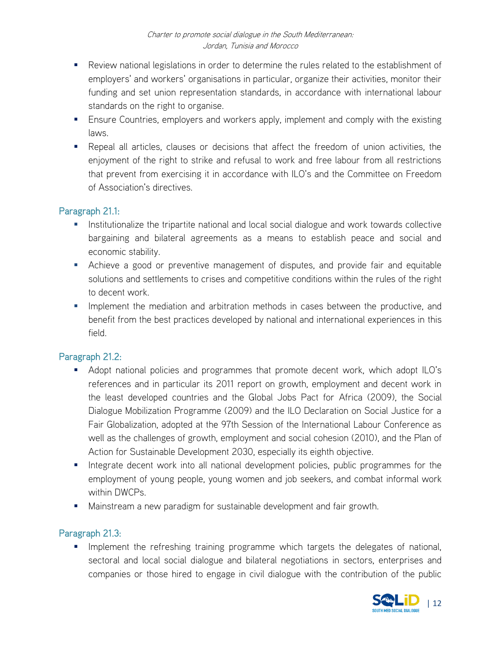- Review national legislations in order to determine the rules related to the establishment of employers' and workers' organisations in particular, organize their activities, monitor their funding and set union representation standards, in accordance with international labour standards on the right to organise.
- **Ensure Countries, employers and workers apply, implement and comply with the existing** laws.
- Repeal all articles, clauses or decisions that affect the freedom of union activities, the enjoyment of the right to strike and refusal to work and free labour from all restrictions that prevent from exercising it in accordance with ILO's and the Committee on Freedom of Association's directives.

### Paragraph 21.1:

- **Institutionalize the tripartite national and local social dialogue and work towards collective** bargaining and bilateral agreements as a means to establish peace and social and economic stability.
- Achieve a good or preventive management of disputes, and provide fair and equitable solutions and settlements to crises and competitive conditions within the rules of the right to decent work.
- **Implement the mediation and arbitration methods in cases between the productive, and** benefit from the best practices developed by national and international experiences in this field.

### Paragraph 21.2:

- Adopt national policies and programmes that promote decent work, which adopt ILO's references and in particular its 2011 report on growth, employment and decent work in the least developed countries and the Global Jobs Pact for Africa (2009), the Social Dialogue Mobilization Programme (2009) and the ILO Declaration on Social Justice for a Fair Globalization, adopted at the 97th Session of the International Labour Conference as well as the challenges of growth, employment and social cohesion (2010), and the Plan of Action for Sustainable Development 2030, especially its eighth objective.
- Integrate decent work into all national development policies, public programmes for the employment of young people, young women and job seekers, and combat informal work within DWCPs.
- **Mainstream a new paradigm for sustainable development and fair growth.**

### Paragraph 21.3:

**IMPLEMENTER INTERFEDE IS a THE FEATH INCORDED FIGHT** in programme which targets the delegates of national, sectoral and local social dialogue and bilateral negotiations in sectors, enterprises and companies or those hired to engage in civil dialogue with the contribution of the public

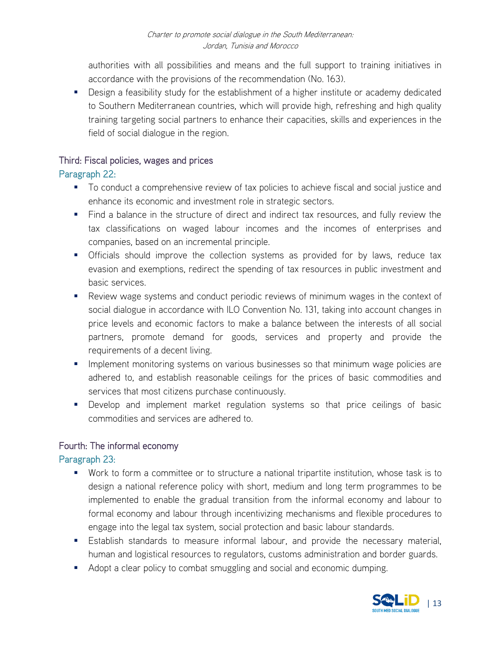authorities with all possibilities and means and the full support to training initiatives in accordance with the provisions of the recommendation (No. 163).

**Design a feasibility study for the establishment of a higher institute or academy dedicated** to Southern Mediterranean countries, which will provide high, refreshing and high quality training targeting social partners to enhance their capacities, skills and experiences in the field of social dialogue in the region.

### Third: Fiscal policies, wages and prices

### Paragraph 22:

- To conduct a comprehensive review of tax policies to achieve fiscal and social justice and enhance its economic and investment role in strategic sectors.
- Find a balance in the structure of direct and indirect tax resources, and fully review the tax classifications on waged labour incomes and the incomes of enterprises and companies, based on an incremental principle.
- Officials should improve the collection systems as provided for by laws, reduce tax evasion and exemptions, redirect the spending of tax resources in public investment and basic services.
- Review wage systems and conduct periodic reviews of minimum wages in the context of social dialogue in accordance with ILO Convention No. 131, taking into account changes in price levels and economic factors to make a balance between the interests of all social partners, promote demand for goods, services and property and provide the requirements of a decent living.
- **IMPLEMENT MONITORY INTERS IN STARK IN STARK IN STARK IN A STARK IN STARK IN STARK IN STARK IN STARK IN STARK IN** adhered to, and establish reasonable ceilings for the prices of basic commodities and services that most citizens purchase continuously.
- **Develop and implement market regulation systems so that price ceilings of basic** commodities and services are adhered to.

### Fourth: The informal economy

### Paragraph 23:

- Work to form a committee or to structure a national tripartite institution, whose task is to design a national reference policy with short, medium and long term programmes to be implemented to enable the gradual transition from the informal economy and labour to formal economy and labour through incentivizing mechanisms and flexible procedures to engage into the legal tax system, social protection and basic labour standards.
- Establish standards to measure informal labour, and provide the necessary material, human and logistical resources to regulators, customs administration and border guards.
- Adopt a clear policy to combat smuggling and social and economic dumping.

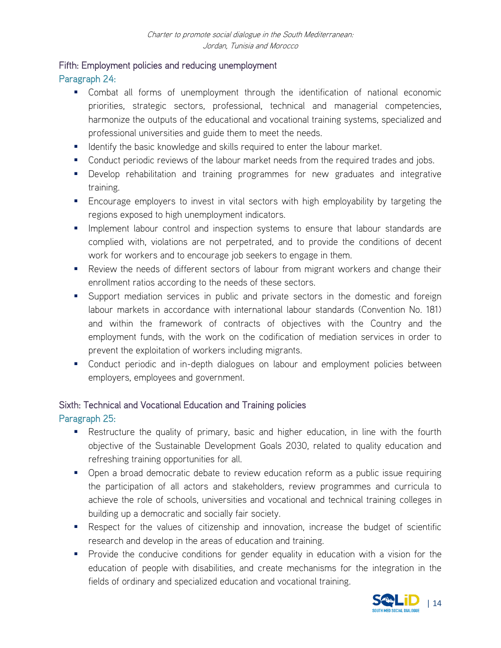### Fifth: Employment policies and reducing unemployment

### Paragraph 24:

- Combat all forms of unemployment through the identification of national economic priorities, strategic sectors, professional, technical and managerial competencies, harmonize the outputs of the educational and vocational training systems, specialized and professional universities and guide them to meet the needs.
- **If all identify the basic knowledge and skills required to enter the labour market.**
- **Conduct periodic reviews of the labour market needs from the required trades and jobs.**
- Develop rehabilitation and training programmes for new graduates and integrative training.
- Encourage employers to invest in vital sectors with high employability by targeting the regions exposed to high unemployment indicators.
- **IMPLEMENTE INCOVER 19 Instigat 10 Inspection systems to ensure that labour standards are** complied with, violations are not perpetrated, and to provide the conditions of decent work for workers and to encourage job seekers to engage in them.
- Review the needs of different sectors of labour from migrant workers and change their enrollment ratios according to the needs of these sectors.
- **Support mediation services in public and private sectors in the domestic and foreign** labour markets in accordance with international labour standards (Convention No. 181) and within the framework of contracts of objectives with the Country and the employment funds, with the work on the codification of mediation services in order to prevent the exploitation of workers including migrants.
- **Conduct periodic and in-depth dialogues on labour and employment policies between** employers, employees and government.

# Sixth: Technical and Vocational Education and Training policies

### Paragraph 25:

- Restructure the quality of primary, basic and higher education, in line with the fourth objective of the Sustainable Development Goals 2030, related to quality education and refreshing training opportunities for all.
- Open a broad democratic debate to review education reform as a public issue requiring the participation of all actors and stakeholders, review programmes and curricula to achieve the role of schools, universities and vocational and technical training colleges in building up a democratic and socially fair society.
- Respect for the values of citizenship and innovation, increase the budget of scientific research and develop in the areas of education and training.
- **Provide the conducive conditions for gender equality in education with a vision for the** education of people with disabilities, and create mechanisms for the integration in the fields of ordinary and specialized education and vocational training.

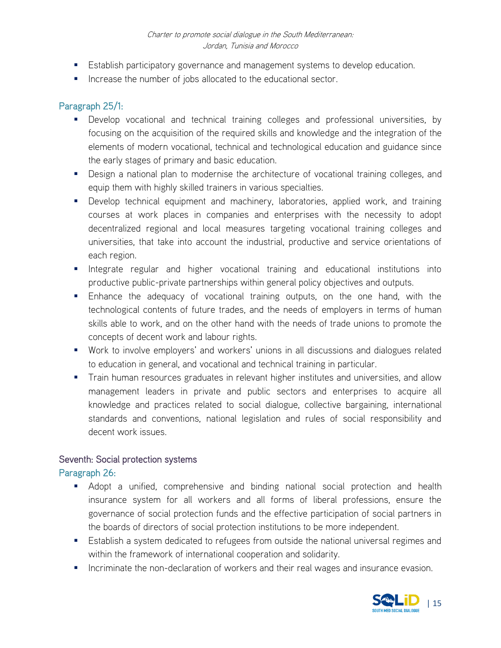- **Establish participatory governance and management systems to develop education.**
- **If** Increase the number of jobs allocated to the educational sector.

### Paragraph 25/1:

- Develop vocational and technical training colleges and professional universities, by focusing on the acquisition of the required skills and knowledge and the integration of the elements of modern vocational, technical and technological education and guidance since the early stages of primary and basic education.
- **Design a national plan to modernise the architecture of vocational training colleges, and** equip them with highly skilled trainers in various specialties.
- **Develop technical equipment and machinery, laboratories, applied work, and training** courses at work places in companies and enterprises with the necessity to adopt decentralized regional and local measures targeting vocational training colleges and universities, that take into account the industrial, productive and service orientations of each region.
- **Integrate regular and higher vocational training and educational institutions into** productive public-private partnerships within general policy objectives and outputs.
- Enhance the adequacy of vocational training outputs, on the one hand, with the technological contents of future trades, and the needs of employers in terms of human skills able to work, and on the other hand with the needs of trade unions to promote the concepts of decent work and labour rights.
- Work to involve employers' and workers' unions in all discussions and dialogues related to education in general, and vocational and technical training in particular.
- **Train human resources graduates in relevant higher institutes and universities, and allow** management leaders in private and public sectors and enterprises to acquire all knowledge and practices related to social dialogue, collective bargaining, international standards and conventions, national legislation and rules of social responsibility and decent work issues.

### Seventh: Social protection systems

### Paragraph 26:

- Adopt a unified, comprehensive and binding national social protection and health insurance system for all workers and all forms of liberal professions, ensure the governance of social protection funds and the effective participation of social partners in the boards of directors of social protection institutions to be more independent.
- Establish a system dedicated to refugees from outside the national universal regimes and within the framework of international cooperation and solidarity.
- **Incriminate the non-declaration of workers and their real wages and insurance evasion.**

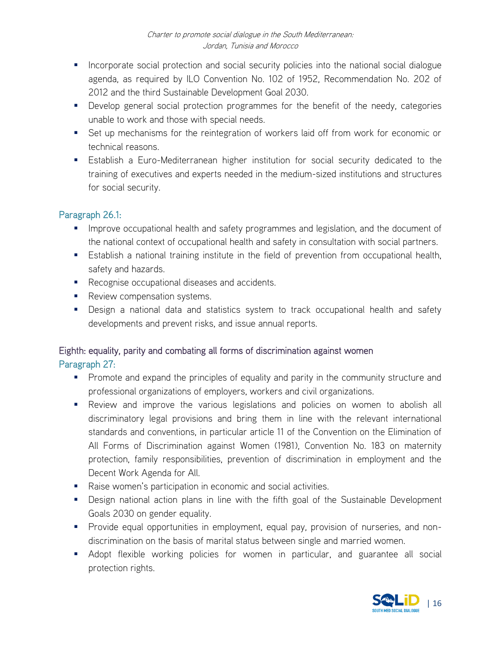- **Incorporate social protection and social security policies into the national social dialogue** agenda, as required by ILO Convention No. 102 of 1952, Recommendation No. 202 of 2012 and the third Sustainable Development Goal 2030.
- **Develop general social protection programmes for the benefit of the needy, categories** unable to work and those with special needs.
- Set up mechanisms for the reintegration of workers laid off from work for economic or technical reasons.
- Establish a Euro-Mediterranean higher institution for social security dedicated to the training of executives and experts needed in the medium-sized institutions and structures for social security.

### Paragraph 26.1:

- **IMPROVE OCCUPATIONAL health and safety programmes and legislation, and the document of** the national context of occupational health and safety in consultation with social partners.
- Establish a national training institute in the field of prevention from occupational health, safety and hazards.
- **Recognise occupational diseases and accidents.**
- Review compensation systems.
- Design a national data and statistics system to track occupational health and safety developments and prevent risks, and issue annual reports.

### Eighth: equality, parity and combating all forms of discrimination against women Paragraph 27:

- **Promote and expand the principles of equality and parity in the community structure and** professional organizations of employers, workers and civil organizations.
- Review and improve the various legislations and policies on women to abolish all discriminatory legal provisions and bring them in line with the relevant international standards and conventions, in particular article 11 of the Convention on the Elimination of All Forms of Discrimination against Women (1981), Convention No. 183 on maternity protection, family responsibilities, prevention of discrimination in employment and the Decent Work Agenda for All.
- Raise women's participation in economic and social activities.
- **Design national action plans in line with the fifth goal of the Sustainable Development** Goals 2030 on gender equality.
- **Provide equal opportunities in employment, equal pay, provision of nurseries, and non**discrimination on the basis of marital status between single and married women.
- Adopt flexible working policies for women in particular, and guarantee all social protection rights.

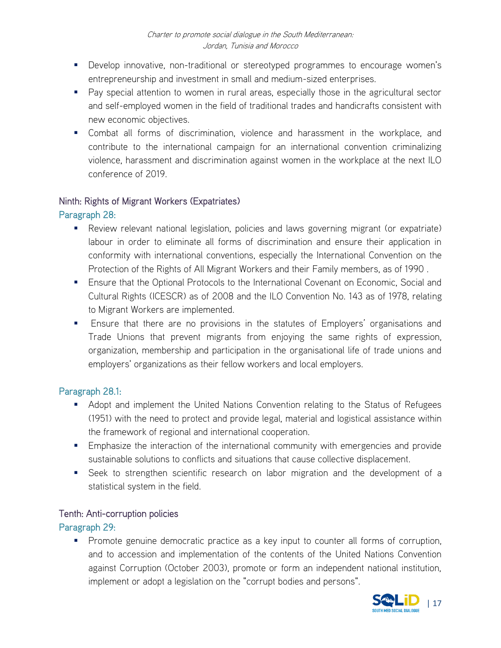- Develop innovative, non-traditional or stereotyped programmes to encourage women's entrepreneurship and investment in small and medium-sized enterprises.
- Pay special attention to women in rural areas, especially those in the agricultural sector and self-employed women in the field of traditional trades and handicrafts consistent with new economic objectives.
- Combat all forms of discrimination, violence and harassment in the workplace, and contribute to the international campaign for an international convention criminalizing violence, harassment and discrimination against women in the workplace at the next ILO conference of 2019.

### Ninth: Rights of Migrant Workers (Expatriates)

### Paragraph 28:

- Review relevant national legislation, policies and laws governing migrant (or expatriate) labour in order to eliminate all forms of discrimination and ensure their application in conformity with international conventions, especially the International Convention on the Protection of the Rights of All Migrant Workers and their Family members, as of 1990 .
- **Ensure that the Optional Protocols to the International Covenant on Economic, Social and** Cultural Rights (ICESCR) as of 2008 and the ILO Convention No. 143 as of 1978, relating to Migrant Workers are implemented.
- **Ensure that there are no provisions in the statutes of Employers' organisations and** Trade Unions that prevent migrants from enjoying the same rights of expression, organization, membership and participation in the organisational life of trade unions and employers' organizations as their fellow workers and local employers.

### Paragraph 28.1:

- **Adopt and implement the United Nations Convention relating to the Status of Refugees** (1951) with the need to protect and provide legal, material and logistical assistance within the framework of regional and international cooperation.
- **Emphasize the interaction of the international community with emergencies and provide** sustainable solutions to conflicts and situations that cause collective displacement.
- Seek to strengthen scientific research on labor migration and the development of a statistical system in the field.

### Tenth: Anti-corruption policies

### Paragraph 29:

**Promote genuine democratic practice as a key input to counter all forms of corruption,** and to accession and implementation of the contents of the United Nations Convention against Corruption (October 2003), promote or form an independent national institution, implement or adopt a legislation on the "corrupt bodies and persons".

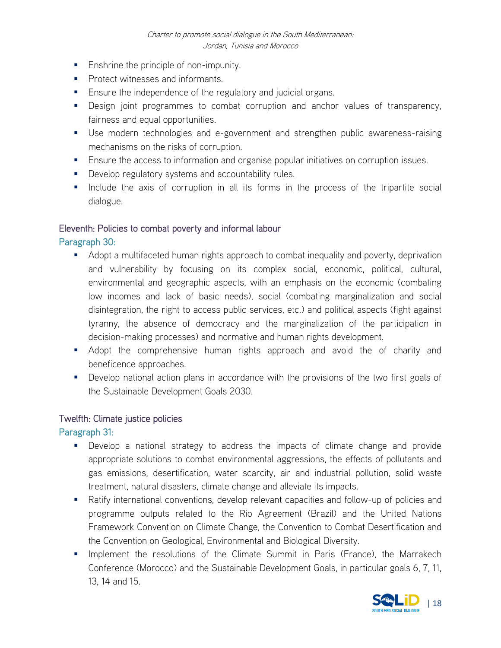- **Enshrine the principle of non-impunity.**
- **Protect witnesses and informants.**
- **Ensure the independence of the regulatory and judicial organs.**
- **Design joint programmes to combat corruption and anchor values of transparency,** fairness and equal opportunities.
- Use modern technologies and e-government and strengthen public awareness-raising mechanisms on the risks of corruption.
- **Ensure the access to information and organise popular initiatives on corruption issues.**
- **Develop regulatory systems and accountability rules.**
- **Include the axis of corruption in all its forms in the process of the tripartite social** dialogue.

### Eleventh: Policies to combat poverty and informal labour

Paragraph 30:

- Adopt a multifaceted human rights approach to combat inequality and poverty, deprivation and vulnerability by focusing on its complex social, economic, political, cultural, environmental and geographic aspects, with an emphasis on the economic (combating low incomes and lack of basic needs), social (combating marginalization and social disintegration, the right to access public services, etc.) and political aspects (fight against tyranny, the absence of democracy and the marginalization of the participation in decision-making processes) and normative and human rights development.
- Adopt the comprehensive human rights approach and avoid the of charity and beneficence approaches.
- **Develop national action plans in accordance with the provisions of the two first goals of** the Sustainable Development Goals 2030.

### Twelfth: Climate justice policies

Paragraph 31:

- Develop a national strategy to address the impacts of climate change and provide appropriate solutions to combat environmental aggressions, the effects of pollutants and gas emissions, desertification, water scarcity, air and industrial pollution, solid waste treatment, natural disasters, climate change and alleviate its impacts.
- Ratify international conventions, develop relevant capacities and follow-up of policies and programme outputs related to the Rio Agreement (Brazil) and the United Nations Framework Convention on Climate Change, the Convention to Combat Desertification and the Convention on Geological, Environmental and Biological Diversity.
- **IMPLEMENTER IN EXALLE THE IMPLE THE CLIMATE CONCLIM** FOR THE MATTED MATTED INTERENTED IN PARTE. In part alternal the Marrakech Conference (Morocco) and the Sustainable Development Goals, in particular goals 6, 7, 11, 13, 14 and 15.

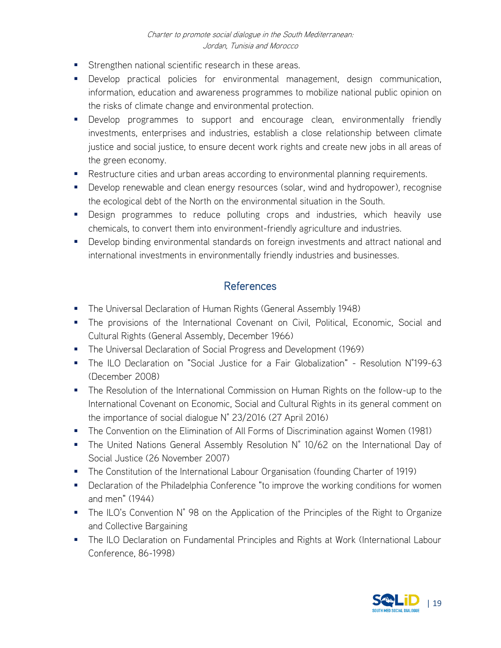- **Strengthen national scientific research in these areas.**
- Develop practical policies for environmental management, design communication, information, education and awareness programmes to mobilize national public opinion on the risks of climate change and environmental protection.
- **Develop programmes to support and encourage clean, environmentally friendly** investments, enterprises and industries, establish a close relationship between climate justice and social justice, to ensure decent work rights and create new jobs in all areas of the green economy.
- **Restructure cities and urban areas according to environmental planning requirements.**
- **Develop renewable and clean energy resources (solar, wind and hydropower), recognise** the ecological debt of the North on the environmental situation in the South.
- Design programmes to reduce polluting crops and industries, which heavily use chemicals, to convert them into environment-friendly agriculture and industries.
- **Develop binding environmental standards on foreign investments and attract national and** international investments in environmentally friendly industries and businesses.

### **References**

- **The Universal Declaration of Human Rights (General Assembly 1948)**
- The provisions of the International Covenant on Civil, Political, Economic, Social and Cultural Rights (General Assembly, December 1966)
- **The Universal Declaration of Social Progress and Development (1969)**
- The ILO Declaration on "Social Justice for a Fair Globalization" Resolution N°199-63 (December 2008)
- **The Resolution of the International Commission on Human Rights on the follow-up to the** International Covenant on Economic, Social and Cultural Rights in its general comment on the importance of social dialogue N° 23/2016 (27 April 2016)
- **The Convention on the Elimination of All Forms of Discrimination against Women (1981)**
- The United Nations General Assembly Resolution N° 10/62 on the International Day of Social Justice (26 November 2007)
- The Constitution of the International Labour Organisation (founding Charter of 1919)
- **•** Declaration of the Philadelphia Conference "to improve the working conditions for women and men" (1944)
- The ILO's Convention N° 98 on the Application of the Principles of the Right to Organize and Collective Bargaining
- **The ILO Declaration on Fundamental Principles and Rights at Work (International Labour** Conference, 86-1998)

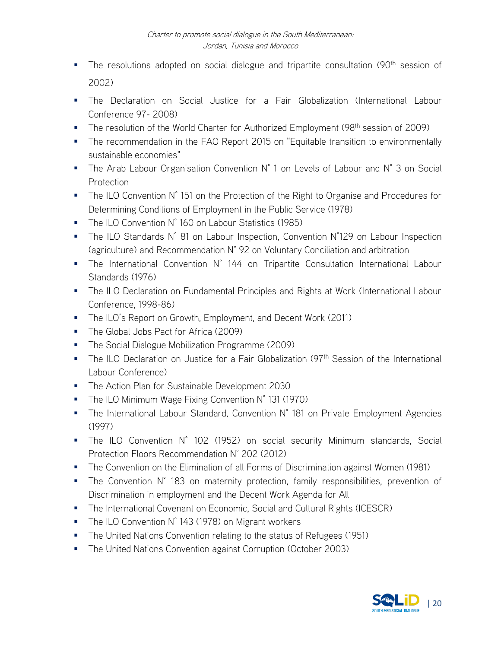- The resolutions adopted on social dialogue and tripartite consultation (90<sup>th</sup> session of 2002)
- The Declaration on Social Justice for a Fair Globalization (International Labour Conference 97- 2008)
- The resolution of the World Charter for Authorized Employment (98<sup>th</sup> session of 2009)
- The recommendation in the FAO Report 2015 on "Equitable transition to environmentally sustainable economies"
- The Arab Labour Organisation Convention N° 1 on Levels of Labour and N° 3 on Social **Protection**
- The ILO Convention N° 151 on the Protection of the Right to Organise and Procedures for Determining Conditions of Employment in the Public Service (1978)
- The ILO Convention N° 160 on Labour Statistics (1985)
- The ILO Standards N° 81 on Labour Inspection, Convention N°129 on Labour Inspection (agriculture) and Recommendation N° 92 on Voluntary Conciliation and arbitration
- The International Convention N° 144 on Tripartite Consultation International Labour Standards (1976)
- **The ILO Declaration on Fundamental Principles and Rights at Work (International Labour** Conference, 1998-86)
- **The ILO's Report on Growth, Employment, and Decent Work (2011)**
- The Global Jobs Pact for Africa (2009)
- **The Social Dialogue Mobilization Programme (2009)**
- The ILO Declaration on Justice for a Fair Globalization (97<sup>th</sup> Session of the International Labour Conference)
- **The Action Plan for Sustainable Development 2030**
- The ILO Minimum Wage Fixing Convention N° 131 (1970)
- The International Labour Standard, Convention N° 181 on Private Employment Agencies (1997)
- The ILO Convention N° 102 (1952) on social security Minimum standards, Social Protection Floors Recommendation N° 202 (2012)
- **The Convention on the Elimination of all Forms of Discrimination against Women (1981)**
- The Convention N° 183 on maternity protection, family responsibilities, prevention of Discrimination in employment and the Decent Work Agenda for All
- **The International Covenant on Economic, Social and Cultural Rights (ICESCR)**
- The ILO Convention N° 143 (1978) on Migrant workers
- **The United Nations Convention relating to the status of Refugees (1951)**
- **The United Nations Convention against Corruption (October 2003)**